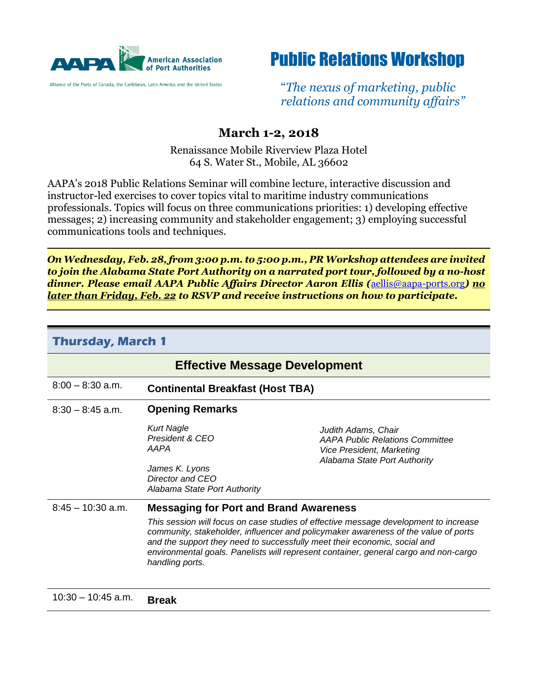

Alliance of the Ports of Canada, the Caribbean, Latin America and the United States



"*The nexus of marketing, public relations and community affairs"*

## **March 1-2, 2018**

Renaissance Mobile Riverview Plaza Hotel 64 S. Water St., Mobile, AL 36602

AAPA's 2018 Public Relations Seminar will combine lecture, interactive discussion and instructor-led exercises to cover topics vital to maritime industry communications professionals. Topics will focus on three communications priorities: 1) developing effective messages; 2) increasing community and stakeholder engagement; 3) employing successful communications tools and techniques.

*On Wednesday, Feb. 28, from 3:00 p.m. to 5:00 p.m., PR Workshop attendees are invited to join the Alabama State Port Authority on a narrated port tour, followed by a no-host dinner. Please email AAPA Public Affairs Director Aaron Ellis (*[aellis@aapa-ports.org](mailto:aellis@aapa-ports.org)*) no later than Friday, Feb. 22 to RSVP and receive instructions on how to participate.*

| <b>Thursday, March 1</b>             |                                                                                                                                                                                                                                                                                                                                                                    |                                                                                                                            |
|--------------------------------------|--------------------------------------------------------------------------------------------------------------------------------------------------------------------------------------------------------------------------------------------------------------------------------------------------------------------------------------------------------------------|----------------------------------------------------------------------------------------------------------------------------|
| <b>Effective Message Development</b> |                                                                                                                                                                                                                                                                                                                                                                    |                                                                                                                            |
| $8:00 - 8:30$ a.m.                   | <b>Continental Breakfast (Host TBA)</b>                                                                                                                                                                                                                                                                                                                            |                                                                                                                            |
| $8:30 - 8:45$ a.m.                   | <b>Opening Remarks</b>                                                                                                                                                                                                                                                                                                                                             |                                                                                                                            |
|                                      | <b>Kurt Nagle</b><br>President & CEO<br>AAPA                                                                                                                                                                                                                                                                                                                       | Judith Adams, Chair<br><b>AAPA Public Relations Committee</b><br>Vice President, Marketing<br>Alabama State Port Authority |
|                                      | James K. Lyons<br>Director and CEO<br>Alabama State Port Authority                                                                                                                                                                                                                                                                                                 |                                                                                                                            |
| $8:45 - 10:30$ a.m.                  | <b>Messaging for Port and Brand Awareness</b>                                                                                                                                                                                                                                                                                                                      |                                                                                                                            |
|                                      | This session will focus on case studies of effective message development to increase<br>community, stakeholder, influencer and policymaker awareness of the value of ports<br>and the support they need to successfully meet their economic, social and<br>environmental goals. Panelists will represent container, general cargo and non-cargo<br>handling ports. |                                                                                                                            |
|                                      |                                                                                                                                                                                                                                                                                                                                                                    |                                                                                                                            |

10:30 – 10:45 a.m. **Break**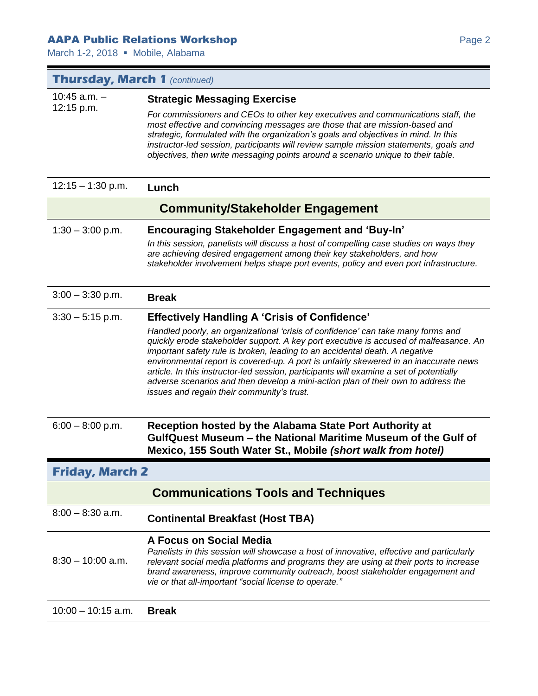## **AAPA Public Relations Workshop Page 2** Page 2

March 1-2, 2018 · Mobile, Alabama

| <b>Thursday, March 1 (continued)</b> |                                                                                                                                                                                                                                                                                                                                                                                                                                                                                                                                                                                                                                         |  |
|--------------------------------------|-----------------------------------------------------------------------------------------------------------------------------------------------------------------------------------------------------------------------------------------------------------------------------------------------------------------------------------------------------------------------------------------------------------------------------------------------------------------------------------------------------------------------------------------------------------------------------------------------------------------------------------------|--|
| $10:45$ a.m. $-$<br>12:15 p.m.       | <b>Strategic Messaging Exercise</b><br>For commissioners and CEOs to other key executives and communications staff, the<br>most effective and convincing messages are those that are mission-based and<br>strategic, formulated with the organization's goals and objectives in mind. In this<br>instructor-led session, participants will review sample mission statements, goals and<br>objectives, then write messaging points around a scenario unique to their table.                                                                                                                                                              |  |
| $12:15 - 1:30$ p.m.                  | Lunch                                                                                                                                                                                                                                                                                                                                                                                                                                                                                                                                                                                                                                   |  |
|                                      | <b>Community/Stakeholder Engagement</b>                                                                                                                                                                                                                                                                                                                                                                                                                                                                                                                                                                                                 |  |
| $1:30 - 3:00$ p.m.                   | <b>Encouraging Stakeholder Engagement and 'Buy-In'</b><br>In this session, panelists will discuss a host of compelling case studies on ways they<br>are achieving desired engagement among their key stakeholders, and how<br>stakeholder involvement helps shape port events, policy and even port infrastructure.                                                                                                                                                                                                                                                                                                                     |  |
| $3:00 - 3:30$ p.m.                   | <b>Break</b>                                                                                                                                                                                                                                                                                                                                                                                                                                                                                                                                                                                                                            |  |
| $3:30 - 5:15$ p.m.                   | <b>Effectively Handling A 'Crisis of Confidence'</b><br>Handled poorly, an organizational 'crisis of confidence' can take many forms and<br>quickly erode stakeholder support. A key port executive is accused of malfeasance. An<br>important safety rule is broken, leading to an accidental death. A negative<br>environmental report is covered-up. A port is unfairly skewered in an inaccurate news<br>article. In this instructor-led session, participants will examine a set of potentially<br>adverse scenarios and then develop a mini-action plan of their own to address the<br>issues and regain their community's trust. |  |
| $6:00 - 8:00$ p.m.                   | Reception hosted by the Alabama State Port Authority at<br>GulfQuest Museum – the National Maritime Museum of the Gulf of<br>Mexico, 155 South Water St., Mobile (short walk from hotel)                                                                                                                                                                                                                                                                                                                                                                                                                                                |  |
| <b>Friday, March 2</b>               |                                                                                                                                                                                                                                                                                                                                                                                                                                                                                                                                                                                                                                         |  |
|                                      | <b>Communications Tools and Techniques</b>                                                                                                                                                                                                                                                                                                                                                                                                                                                                                                                                                                                              |  |
| $8:00 - 8:30$ a.m.                   | <b>Continental Breakfast (Host TBA)</b>                                                                                                                                                                                                                                                                                                                                                                                                                                                                                                                                                                                                 |  |
| $8:30 - 10:00$ a.m.                  | A Focus on Social Media<br>Panelists in this session will showcase a host of innovative, effective and particularly<br>relevant social media platforms and programs they are using at their ports to increase<br>brand awareness, improve community outreach, boost stakeholder engagement and<br>vie or that all-important "social license to operate."                                                                                                                                                                                                                                                                                |  |
| $10:00 - 10:15$ a.m.                 | <b>Break</b>                                                                                                                                                                                                                                                                                                                                                                                                                                                                                                                                                                                                                            |  |